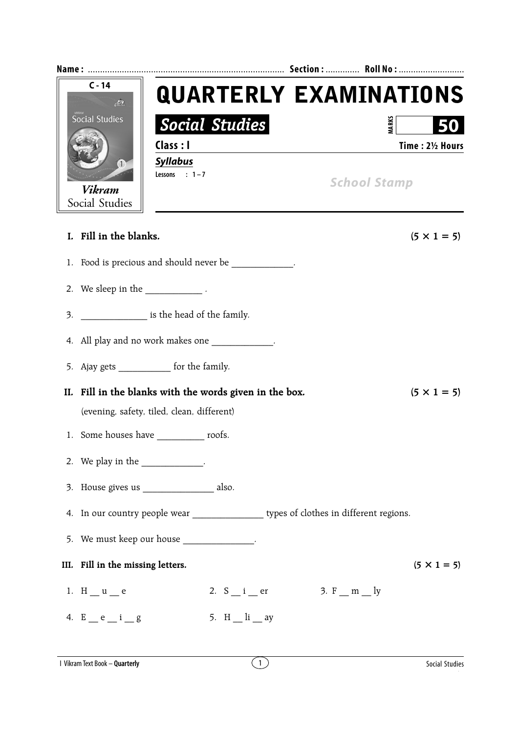|    | $C - 14$<br><b>QUARTERLY EXAMINATIONS</b><br>$\mathcal{L}$                                   |                    |  |
|----|----------------------------------------------------------------------------------------------|--------------------|--|
|    | <b>Social Studies</b><br>Social Studies                                                      | <b>MARKS</b>       |  |
|    | Class : I                                                                                    | Time: 21/2 Hours   |  |
|    | <b>Syllabus</b><br>(1)<br>Lessons : $1-7$<br><b>School Stamp</b><br>Vikram<br>Social Studies |                    |  |
|    | I. Fill in the blanks.                                                                       | $(5 \times 1 = 5)$ |  |
| 1. | Food is precious and should never be _____________.                                          |                    |  |
|    | 2. We sleep in the $\_\_\_\_\_\_\_\$ .                                                       |                    |  |
| 3. | is the head of the family.                                                                   |                    |  |
|    | 4. All play and no work makes one ____________.                                              |                    |  |
|    | 5. Ajay gets ______________ for the family.                                                  |                    |  |
|    | II. Fill in the blanks with the words given in the box.                                      | $(5 \times 1 = 5)$ |  |
|    | (evening, safety, tiled, clean, different)                                                   |                    |  |
|    | 1. Some houses have ____________ roofs.                                                      |                    |  |
|    | 2. We play in the ____________.                                                              |                    |  |
|    | 3. House gives us ____________________ also.                                                 |                    |  |
|    | 4. In our country people wear __________________ types of clothes in different regions.      |                    |  |
|    | 5. We must keep our house ______________.                                                    |                    |  |
|    | III. Fill in the missing letters.                                                            | $(5 \times 1 = 5)$ |  |
|    | 3. $F_m = m$<br>1. $H_u = u$<br>2. $S_i$ = $i$ = $er$                                        |                    |  |
|    | 4. $E$ $e$ $i$ $g$<br>5. H $\ln$ $\frac{1}{1}$ ay                                            |                    |  |